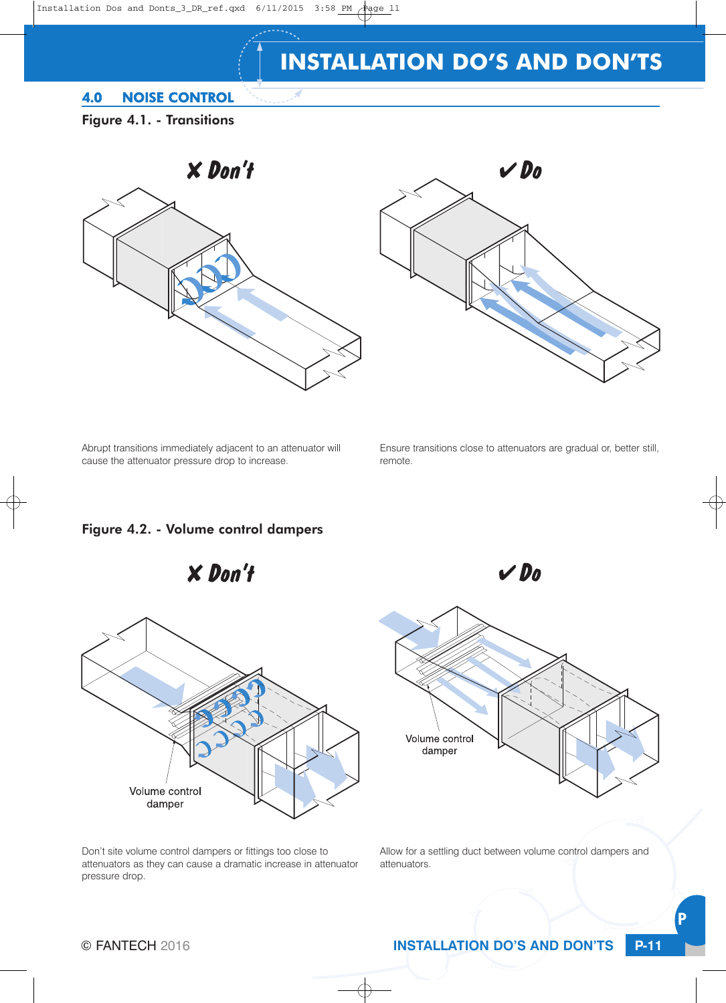#### 4.0 NOISE CONTROL

Figure 4.1. - Transitions





Abrupt transitions immediately adjacent to an attenuator will cause the attenuator pressure drop to increase.

Ensure transitions close to attenuators are gradual or, better still, remote.

 $V$ Do

#### Figure 4.2. - Volume control dampers





Don't site volume control dampers or fittings too close to attenuators as they can cause a dramatic increase in attenuator pressure drop.



Allow for a settling duct between volume control dampers and attenuators.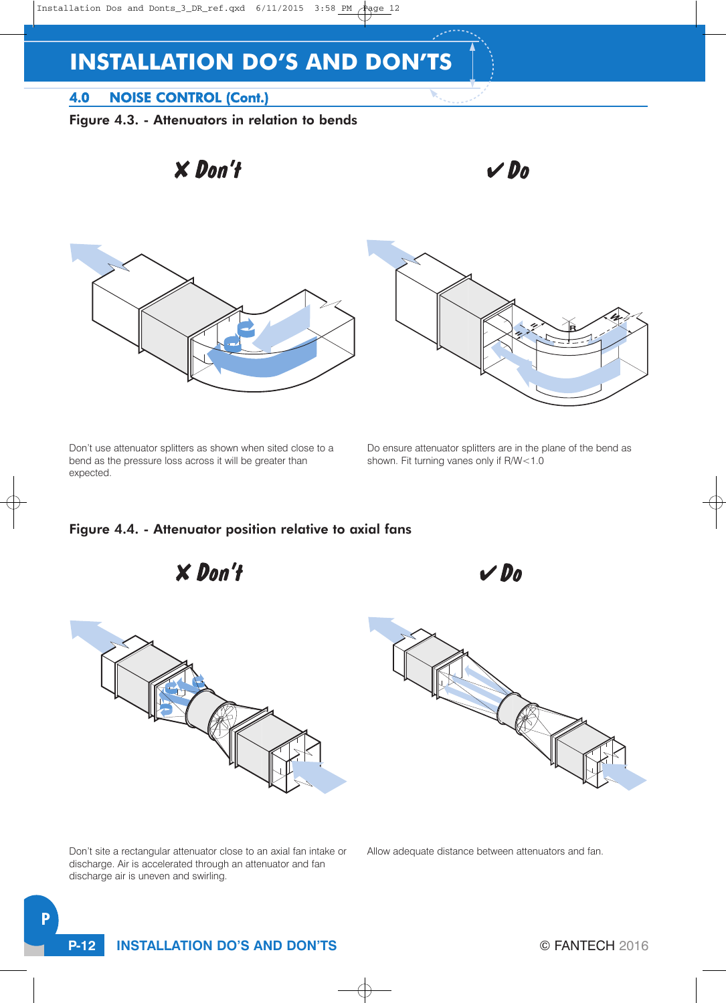## 4.0 NOISE CONTROL (Cont.)

Figure 4.3. - Attenuators in relation to bends



Don't use attenuator splitters as shown when sited close to a bend as the pressure loss across it will be greater than expected.

 $X$  Don't

Do ensure attenuator splitters are in the plane of the bend as shown. Fit turning vanes only if R/W<1.0

 $V$ Do

#### Figure 4.4. - Attenuator position relative to axial fans



Don't site a rectangular attenuator close to an axial fan intake or discharge. Air is accelerated through an attenuator and fan discharge air is uneven and swirling.

Allow adequate distance between attenuators and fan.

**P-12 INSTALLATION DO'S AND DON'TS**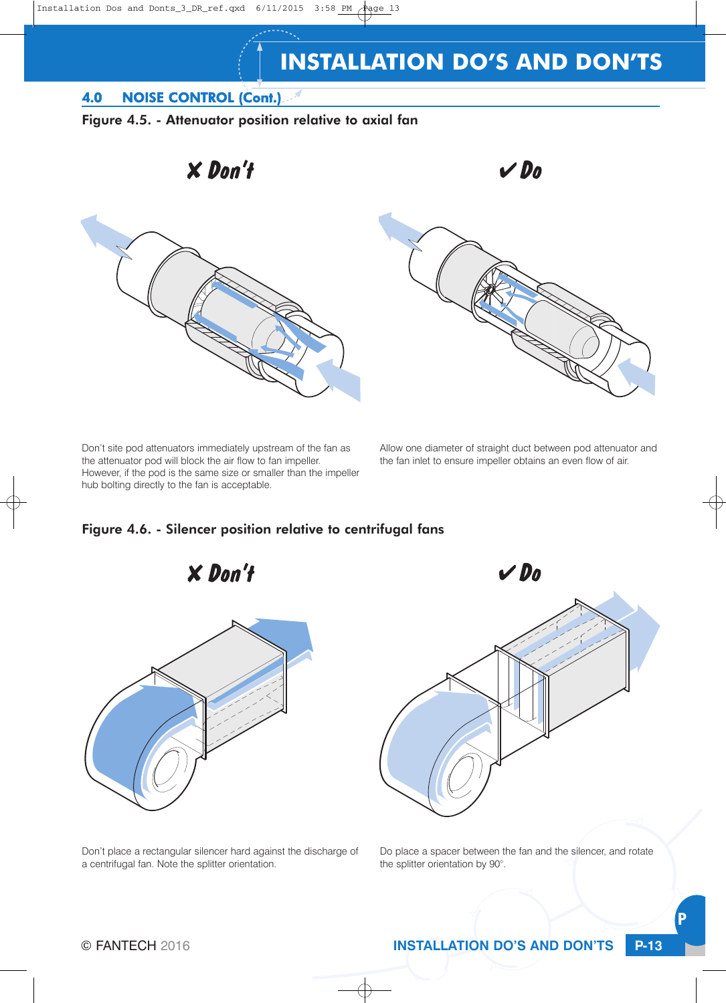### 4.0 NOISE CONTROL (Cont.)





Don't site pod attenuators immediately upstream of the fan as the attenuator pod will block the air flow to fan impeller. However, if the pod is the same size or smaller than the impeller hub bolting directly to the fan is acceptable.

 $X$  Don't

Allow one diameter of straight duct between pod attenuator and the fan inlet to ensure impeller obtains an even flow of air.

#### Figure 4.6. - Silencer position relative to centrifugal fans





Do place a spacer between the fan and the silencer, and rotate the splitter orientation by 90°.

Don't place a rectangular silencer hard against the discharge of a centrifugal fan. Note the splitter orientation.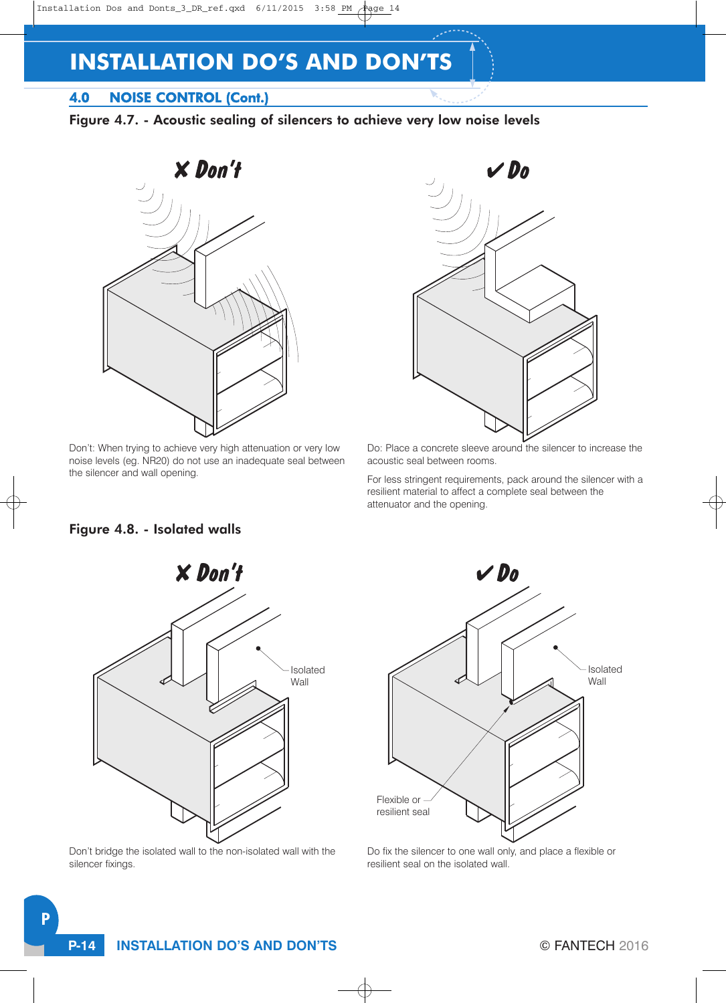## 4.0 NOISE CONTROL (Cont.)

Figure 4.7. - Acoustic sealing of silencers to achieve very low noise levels



Don't: When trying to achieve very high attenuation or very low noise levels (eg. NR20) do not use an inadequate seal between the silencer and wall opening.



Do: Place a concrete sleeve around the silencer to increase the acoustic seal between rooms.

For less stringent requirements, pack around the silencer with a resilient material to affect a complete seal between the attenuator and the opening.

#### Figure 4.8. - Isolated walls



Don't bridge the isolated wall to the non-isolated wall with the silencer fixings.

P



Do fix the silencer to one wall only, and place a flexible or resilient seal on the isolated wall.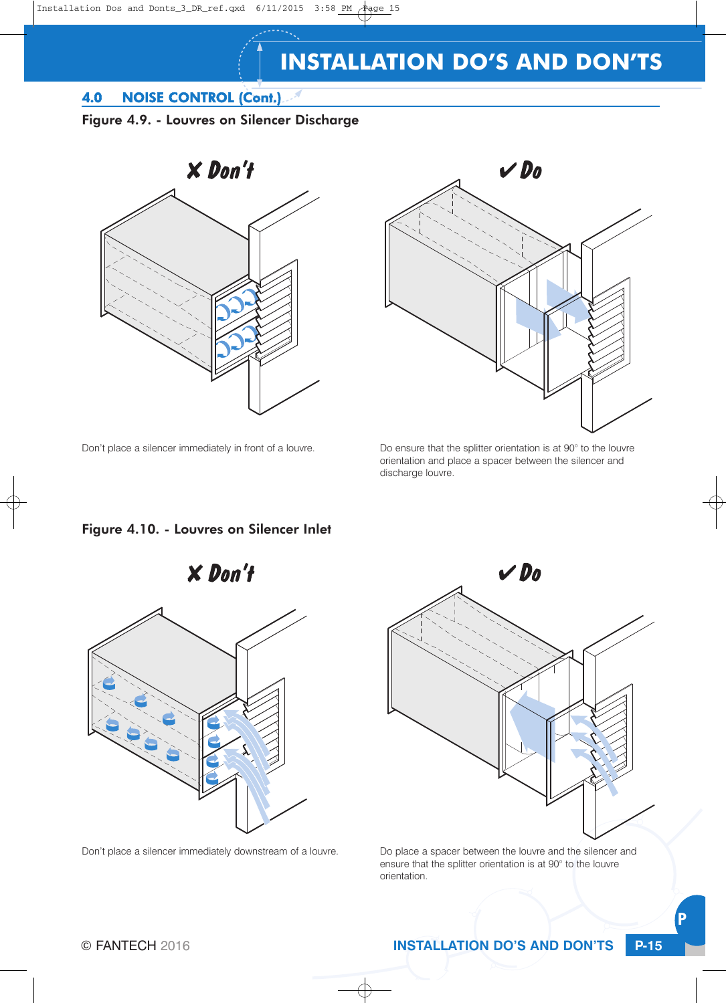## 4.0 NOISE CONTROL (Cont.)

#### Figure 4.9. - Louvres on Silencer Discharge





Don't place a silencer immediately in front of a louvre. Do ensure that the splitter orientation is at 90° to the louvre orientation and place a spacer between the silencer and discharge louvre.

#### Figure 4.10. - Louvres on Silencer Inlet





Don't place a silencer immediately downstream of a louvre. Do place a spacer between the louvre and the silencer and ensure that the splitter orientation is at 90° to the louvre orientation.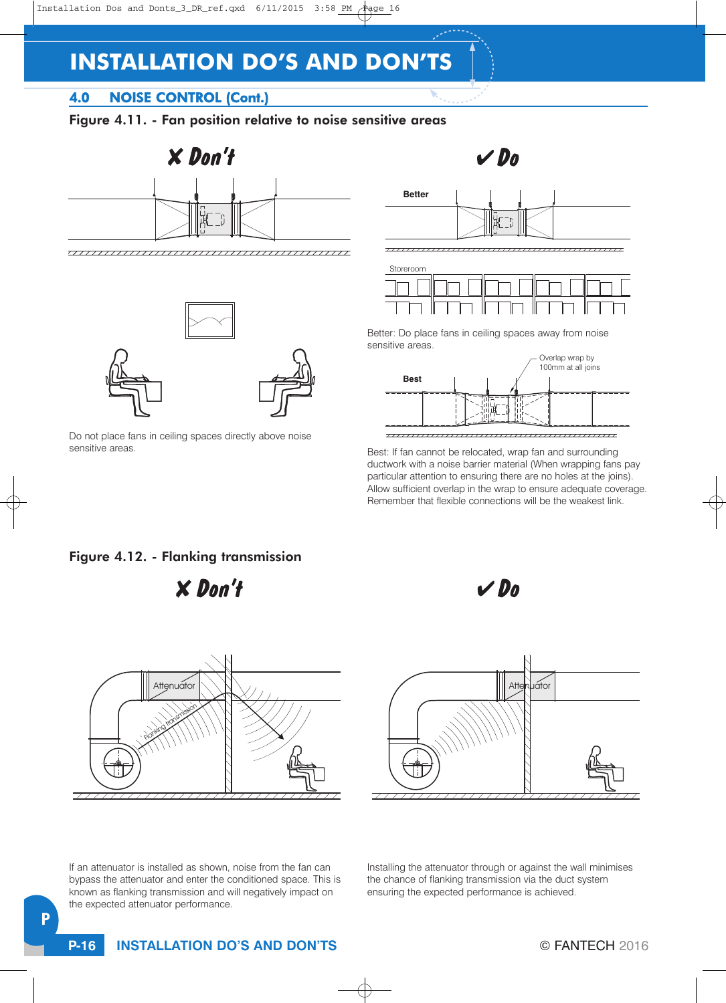## 4.0 NOISE CONTROL (Cont.)

## Figure 4.11. - Fan position relative to noise sensitive areas







Do not place fans in ceiling spaces directly above noise sensitive areas.





Better: Do place fans in ceiling spaces away from noise sensitive areas.



Best: If fan cannot be relocated, wrap fan and surrounding ductwork with a noise barrier material (When wrapping fans pay particular attention to ensuring there are no holes at the joins). Allow sufficient overlap in the wrap to ensure adequate coverage. Remember that flexible connections will be the weakest link.

#### Figure 4.12. - Flanking transmission

 $X$  Don't







If an attenuator is installed as shown, noise from the fan can bypass the attenuator and enter the conditioned space. This is known as flanking transmission and will negatively impact on the expected attenuator performance.

Installing the attenuator through or against the wall minimises the chance of flanking transmission via the duct system ensuring the expected performance is achieved.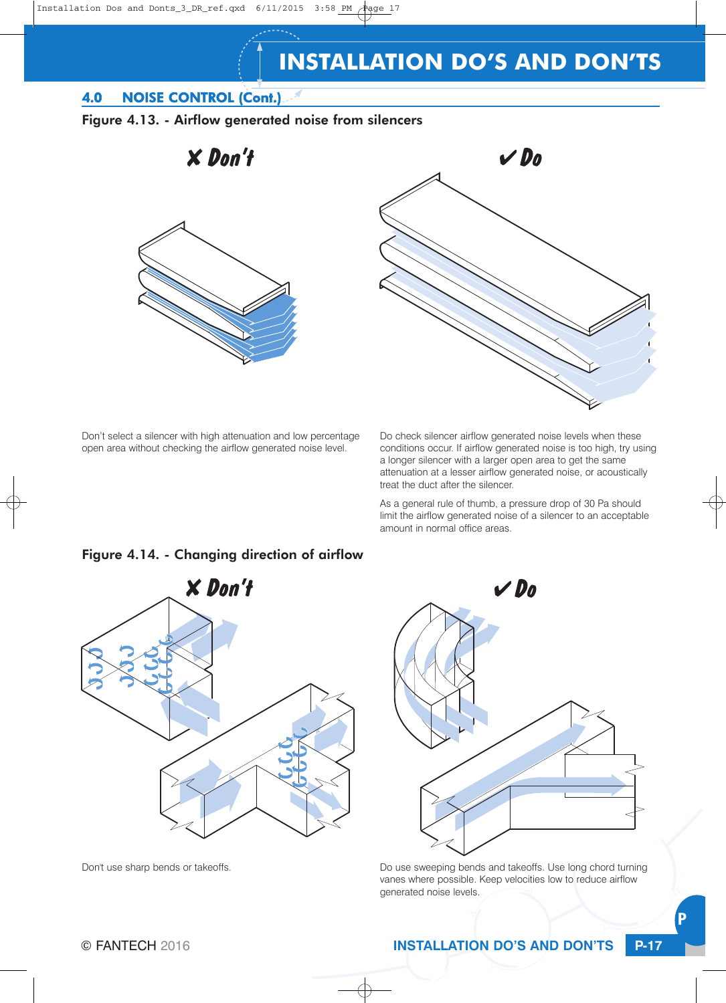### 4.0 NOISE CONTROL (Cont.)



 $X$  Don't





Don't select a silencer with high attenuation and low percentage open area without checking the airflow generated noise level.

Do check silencer airflow generated noise levels when these conditions occur. If airflow generated noise is too high, try using a longer silencer with a larger open area to get the same attenuation at a lesser airflow generated noise, or acoustically treat the duct after the silencer.

As a general rule of thumb, a pressure drop of 30 Pa should limit the airflow generated noise of a silencer to an acceptable amount in normal office areas.

#### Figure 4.14. - Changing direction of airflow





Don't use sharp bends or takeoffs. The state of the state of the use sweeping bends and takeoffs. Use long chord turning vanes where possible. Keep velocities low to reduce airflow generated noise levels.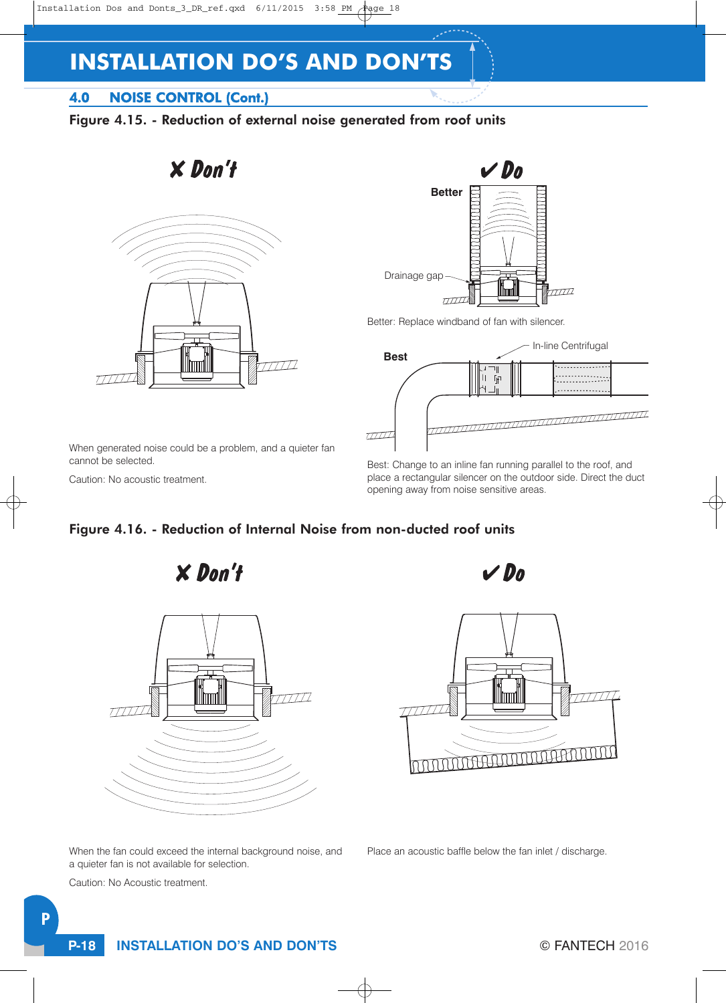## 4.0 NOISE CONTROL (Cont.)

## Figure 4.15. - Reduction of external noise generated from roof units

 $X$  Don't





Better: Replace windband of fan with silencer.



When generated noise could be a problem, and a quieter fan cannot be selected.

Caution: No acoustic treatment.

Best: Change to an inline fan running parallel to the roof, and place a rectangular silencer on the outdoor side. Direct the duct opening away from noise sensitive areas.

## Figure 4.16. - Reduction of Internal Noise from non-ducted roof units

 $X$  Don't



 $V$ Do



Place an acoustic baffle below the fan inlet / discharge.

When the fan could exceed the internal background noise, and a quieter fan is not available for selection.

Caution: No Acoustic treatment.